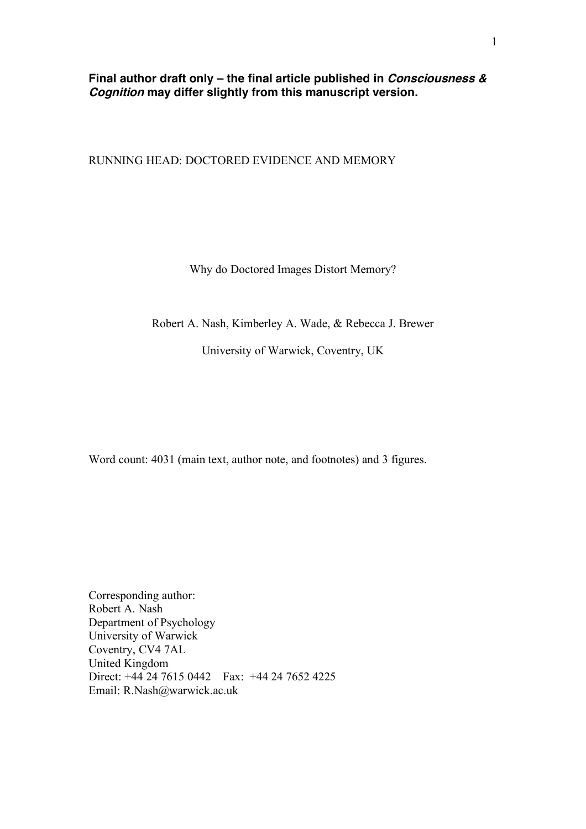**Final author draft only – the final article published in Consciousness & Cognition may differ slightly from this manuscript version.**

RUNNING HEAD: DOCTORED EVIDENCE AND MEMORY

Why do Doctored Images Distort Memory?

Robert A. Nash, Kimberley A. Wade, & Rebecca J. Brewer

University of Warwick, Coventry, UK

Word count: 4031 (main text, author note, and footnotes) and 3 figures.

Corresponding author: Robert A. Nash Department of Psychology University of Warwick Coventry, CV4 7AL United Kingdom Direct: +44 24 7615 0442 Fax: +44 24 7652 4225 Email: R.Nash@warwick.ac.uk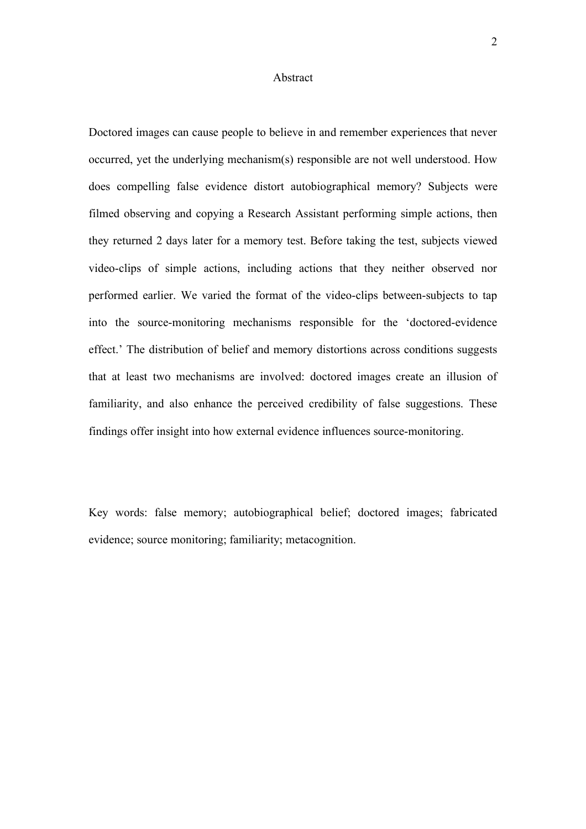### Abstract

Doctored images can cause people to believe in and remember experiences that never occurred, yet the underlying mechanism(s) responsible are not well understood. How does compelling false evidence distort autobiographical memory? Subjects were filmed observing and copying a Research Assistant performing simple actions, then they returned 2 days later for a memory test. Before taking the test, subjects viewed video-clips of simple actions, including actions that they neither observed nor performed earlier. We varied the format of the video-clips between-subjects to tap into the source-monitoring mechanisms responsible for the 'doctored-evidence effect.' The distribution of belief and memory distortions across conditions suggests that at least two mechanisms are involved: doctored images create an illusion of familiarity, and also enhance the perceived credibility of false suggestions. These findings offer insight into how external evidence influences source-monitoring.

Key words: false memory; autobiographical belief; doctored images; fabricated evidence; source monitoring; familiarity; metacognition.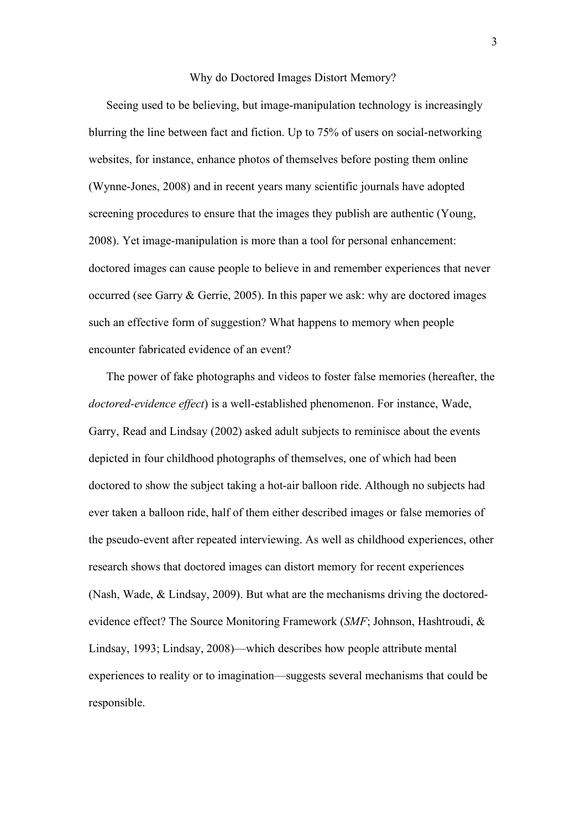### Why do Doctored Images Distort Memory?

Seeing used to be believing, but image-manipulation technology is increasingly blurring the line between fact and fiction. Up to 75% of users on social-networking websites, for instance, enhance photos of themselves before posting them online (Wynne-Jones, 2008) and in recent years many scientific journals have adopted screening procedures to ensure that the images they publish are authentic (Young, 2008). Yet image-manipulation is more than a tool for personal enhancement: doctored images can cause people to believe in and remember experiences that never occurred (see Garry & Gerrie, 2005). In this paper we ask: why are doctored images such an effective form of suggestion? What happens to memory when people encounter fabricated evidence of an event?

The power of fake photographs and videos to foster false memories (hereafter, the *doctored-evidence effect*) is a well-established phenomenon. For instance, Wade, Garry, Read and Lindsay (2002) asked adult subjects to reminisce about the events depicted in four childhood photographs of themselves, one of which had been doctored to show the subject taking a hot-air balloon ride. Although no subjects had ever taken a balloon ride, half of them either described images or false memories of the pseudo-event after repeated interviewing. As well as childhood experiences, other research shows that doctored images can distort memory for recent experiences (Nash, Wade, & Lindsay, 2009). But what are the mechanisms driving the doctoredevidence effect? The Source Monitoring Framework (*SMF*; Johnson, Hashtroudi, & Lindsay, 1993; Lindsay, 2008)—which describes how people attribute mental experiences to reality or to imagination—suggests several mechanisms that could be responsible.

3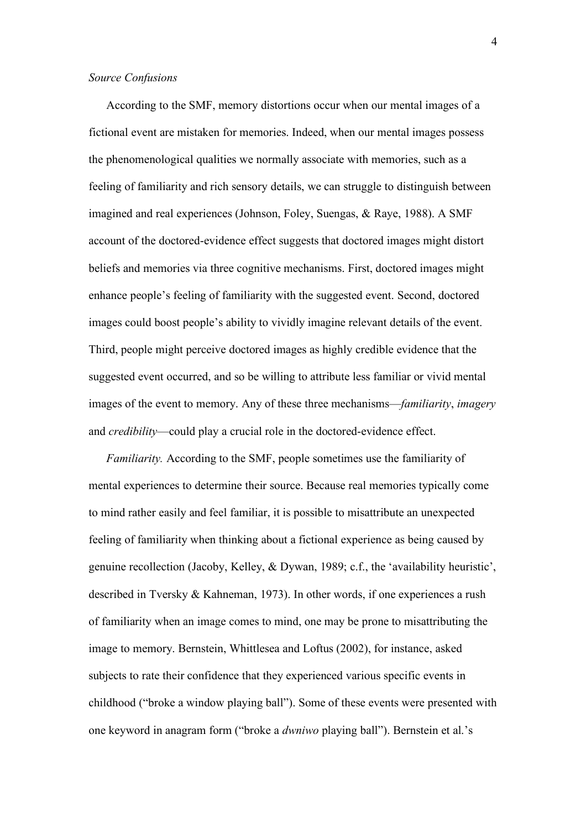## *Source Confusions*

According to the SMF, memory distortions occur when our mental images of a fictional event are mistaken for memories. Indeed, when our mental images possess the phenomenological qualities we normally associate with memories, such as a feeling of familiarity and rich sensory details, we can struggle to distinguish between imagined and real experiences (Johnson, Foley, Suengas, & Raye, 1988). A SMF account of the doctored-evidence effect suggests that doctored images might distort beliefs and memories via three cognitive mechanisms. First, doctored images might enhance people's feeling of familiarity with the suggested event. Second, doctored images could boost people's ability to vividly imagine relevant details of the event. Third, people might perceive doctored images as highly credible evidence that the suggested event occurred, and so be willing to attribute less familiar or vivid mental images of the event to memory. Any of these three mechanisms—*familiarity*, *imagery* and *credibility*—could play a crucial role in the doctored-evidence effect.

*Familiarity.* According to the SMF, people sometimes use the familiarity of mental experiences to determine their source. Because real memories typically come to mind rather easily and feel familiar, it is possible to misattribute an unexpected feeling of familiarity when thinking about a fictional experience as being caused by genuine recollection (Jacoby, Kelley, & Dywan, 1989; c.f., the 'availability heuristic', described in Tversky & Kahneman, 1973). In other words, if one experiences a rush of familiarity when an image comes to mind, one may be prone to misattributing the image to memory. Bernstein, Whittlesea and Loftus (2002), for instance, asked subjects to rate their confidence that they experienced various specific events in childhood ("broke a window playing ball"). Some of these events were presented with one keyword in anagram form ("broke a *dwniwo* playing ball"). Bernstein et al.'s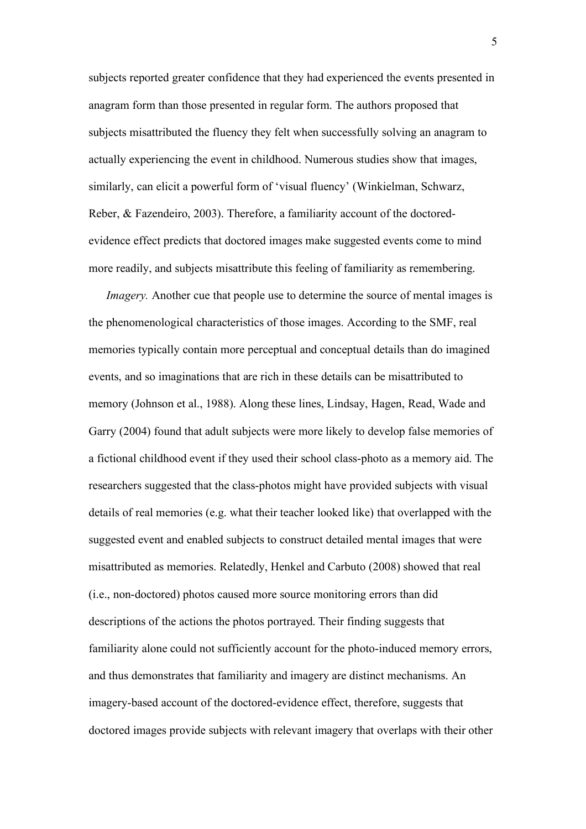subjects reported greater confidence that they had experienced the events presented in anagram form than those presented in regular form. The authors proposed that subjects misattributed the fluency they felt when successfully solving an anagram to actually experiencing the event in childhood. Numerous studies show that images, similarly, can elicit a powerful form of 'visual fluency' (Winkielman, Schwarz, Reber, & Fazendeiro, 2003). Therefore, a familiarity account of the doctoredevidence effect predicts that doctored images make suggested events come to mind more readily, and subjects misattribute this feeling of familiarity as remembering.

*Imagery.* Another cue that people use to determine the source of mental images is the phenomenological characteristics of those images. According to the SMF, real memories typically contain more perceptual and conceptual details than do imagined events, and so imaginations that are rich in these details can be misattributed to memory (Johnson et al., 1988). Along these lines, Lindsay, Hagen, Read, Wade and Garry (2004) found that adult subjects were more likely to develop false memories of a fictional childhood event if they used their school class-photo as a memory aid. The researchers suggested that the class-photos might have provided subjects with visual details of real memories (e.g. what their teacher looked like) that overlapped with the suggested event and enabled subjects to construct detailed mental images that were misattributed as memories. Relatedly, Henkel and Carbuto (2008) showed that real (i.e., non-doctored) photos caused more source monitoring errors than did descriptions of the actions the photos portrayed. Their finding suggests that familiarity alone could not sufficiently account for the photo-induced memory errors, and thus demonstrates that familiarity and imagery are distinct mechanisms. An imagery-based account of the doctored-evidence effect, therefore, suggests that doctored images provide subjects with relevant imagery that overlaps with their other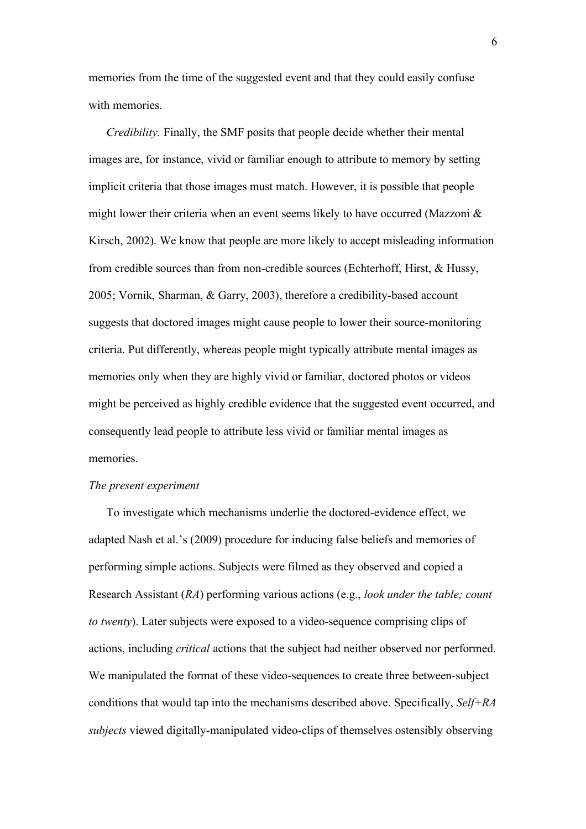memories from the time of the suggested event and that they could easily confuse with memories.

*Credibility.* Finally, the SMF posits that people decide whether their mental images are, for instance, vivid or familiar enough to attribute to memory by setting implicit criteria that those images must match. However, it is possible that people might lower their criteria when an event seems likely to have occurred (Mazzoni & Kirsch, 2002). We know that people are more likely to accept misleading information from credible sources than from non-credible sources (Echterhoff, Hirst, & Hussy, 2005; Vornik, Sharman, & Garry, 2003), therefore a credibility-based account suggests that doctored images might cause people to lower their source-monitoring criteria. Put differently, whereas people might typically attribute mental images as memories only when they are highly vivid or familiar, doctored photos or videos might be perceived as highly credible evidence that the suggested event occurred, and consequently lead people to attribute less vivid or familiar mental images as memories.

### *The present experiment*

To investigate which mechanisms underlie the doctored-evidence effect, we adapted Nash et al.'s (2009) procedure for inducing false beliefs and memories of performing simple actions. Subjects were filmed as they observed and copied a Research Assistant (*RA*) performing various actions (e.g., *look under the table; count to twenty*). Later subjects were exposed to a video-sequence comprising clips of actions, including *critical* actions that the subject had neither observed nor performed. We manipulated the format of these video-sequences to create three between-subject conditions that would tap into the mechanisms described above. Specifically, *Self+RA subjects* viewed digitally-manipulated video-clips of themselves ostensibly observing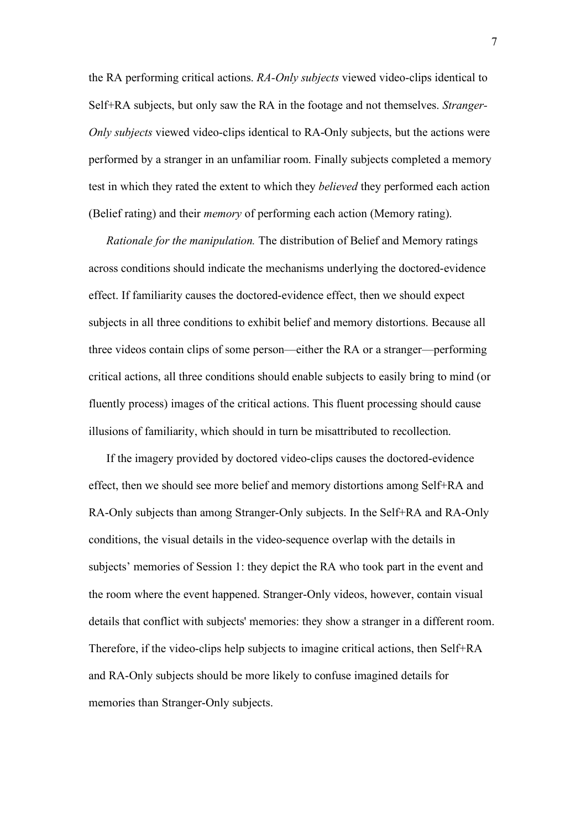the RA performing critical actions. *RA-Only subjects* viewed video-clips identical to Self+RA subjects, but only saw the RA in the footage and not themselves. *Stranger-Only subjects* viewed video-clips identical to RA-Only subjects, but the actions were performed by a stranger in an unfamiliar room. Finally subjects completed a memory test in which they rated the extent to which they *believed* they performed each action (Belief rating) and their *memory* of performing each action (Memory rating).

*Rationale for the manipulation.* The distribution of Belief and Memory ratings across conditions should indicate the mechanisms underlying the doctored-evidence effect. If familiarity causes the doctored-evidence effect, then we should expect subjects in all three conditions to exhibit belief and memory distortions. Because all three videos contain clips of some person—either the RA or a stranger—performing critical actions, all three conditions should enable subjects to easily bring to mind (or fluently process) images of the critical actions. This fluent processing should cause illusions of familiarity, which should in turn be misattributed to recollection.

If the imagery provided by doctored video-clips causes the doctored-evidence effect, then we should see more belief and memory distortions among Self+RA and RA-Only subjects than among Stranger-Only subjects. In the Self+RA and RA-Only conditions, the visual details in the video-sequence overlap with the details in subjects' memories of Session 1: they depict the RA who took part in the event and the room where the event happened. Stranger-Only videos, however, contain visual details that conflict with subjects' memories: they show a stranger in a different room. Therefore, if the video-clips help subjects to imagine critical actions, then Self+RA and RA-Only subjects should be more likely to confuse imagined details for memories than Stranger-Only subjects.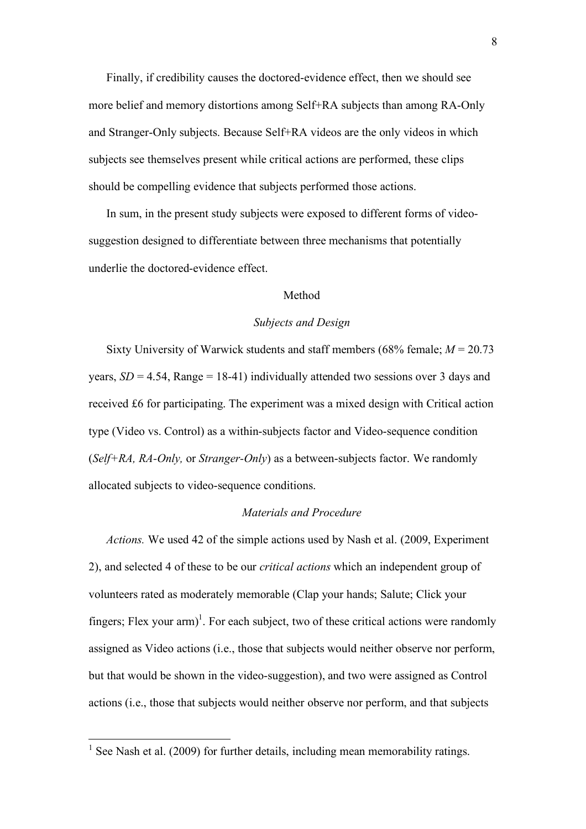Finally, if credibility causes the doctored-evidence effect, then we should see more belief and memory distortions among Self+RA subjects than among RA-Only and Stranger-Only subjects. Because Self+RA videos are the only videos in which subjects see themselves present while critical actions are performed, these clips should be compelling evidence that subjects performed those actions.

In sum, in the present study subjects were exposed to different forms of videosuggestion designed to differentiate between three mechanisms that potentially underlie the doctored-evidence effect.

## Method

### *Subjects and Design*

Sixty University of Warwick students and staff members (68% female; *M* = 20.73 years,  $SD = 4.54$ , Range = 18-41) individually attended two sessions over 3 days and received £6 for participating. The experiment was a mixed design with Critical action type (Video vs. Control) as a within-subjects factor and Video-sequence condition (*Self+RA, RA-Only,* or *Stranger-Only*) as a between-subjects factor. We randomly allocated subjects to video-sequence conditions.

# *Materials and Procedure*

*Actions.* We used 42 of the simple actions used by Nash et al. (2009, Experiment 2), and selected 4 of these to be our *critical actions* which an independent group of volunteers rated as moderately memorable (Clap your hands; Salute; Click your fingers; Flex your  $arm$ <sup>1</sup>. For each subject, two of these critical actions were randomly assigned as Video actions (i.e., those that subjects would neither observe nor perform, but that would be shown in the video-suggestion), and two were assigned as Control actions (i.e., those that subjects would neither observe nor perform, and that subjects

<sup>&</sup>lt;sup>1</sup> See Nash et al. (2009) for further details, including mean memorability ratings.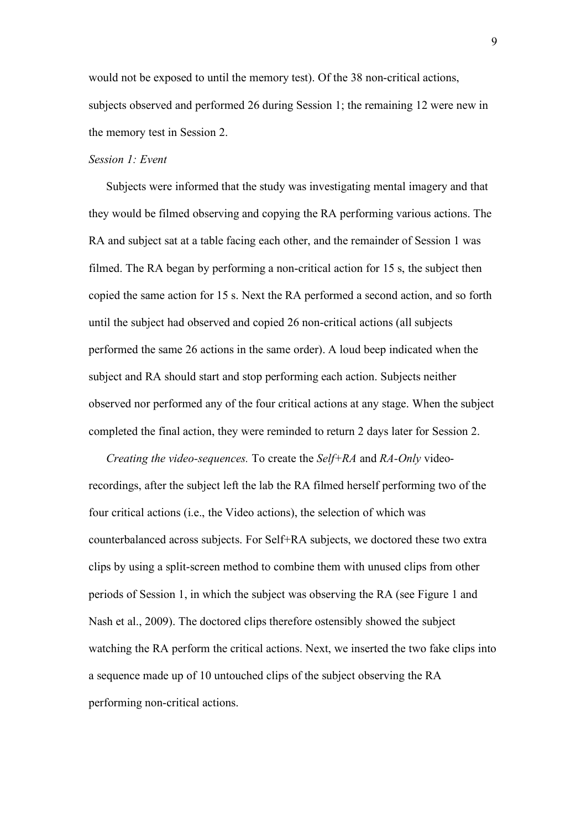would not be exposed to until the memory test). Of the 38 non-critical actions, subjects observed and performed 26 during Session 1; the remaining 12 were new in the memory test in Session 2.

# *Session 1: Event*

Subjects were informed that the study was investigating mental imagery and that they would be filmed observing and copying the RA performing various actions. The RA and subject sat at a table facing each other, and the remainder of Session 1 was filmed. The RA began by performing a non-critical action for 15 s, the subject then copied the same action for 15 s. Next the RA performed a second action, and so forth until the subject had observed and copied 26 non-critical actions (all subjects performed the same 26 actions in the same order). A loud beep indicated when the subject and RA should start and stop performing each action. Subjects neither observed nor performed any of the four critical actions at any stage. When the subject completed the final action, they were reminded to return 2 days later for Session 2.

*Creating the video-sequences.* To create the *Self+RA* and *RA-Only* videorecordings, after the subject left the lab the RA filmed herself performing two of the four critical actions (i.e., the Video actions), the selection of which was counterbalanced across subjects. For Self+RA subjects, we doctored these two extra clips by using a split-screen method to combine them with unused clips from other periods of Session 1, in which the subject was observing the RA (see Figure 1 and Nash et al., 2009). The doctored clips therefore ostensibly showed the subject watching the RA perform the critical actions. Next, we inserted the two fake clips into a sequence made up of 10 untouched clips of the subject observing the RA performing non-critical actions.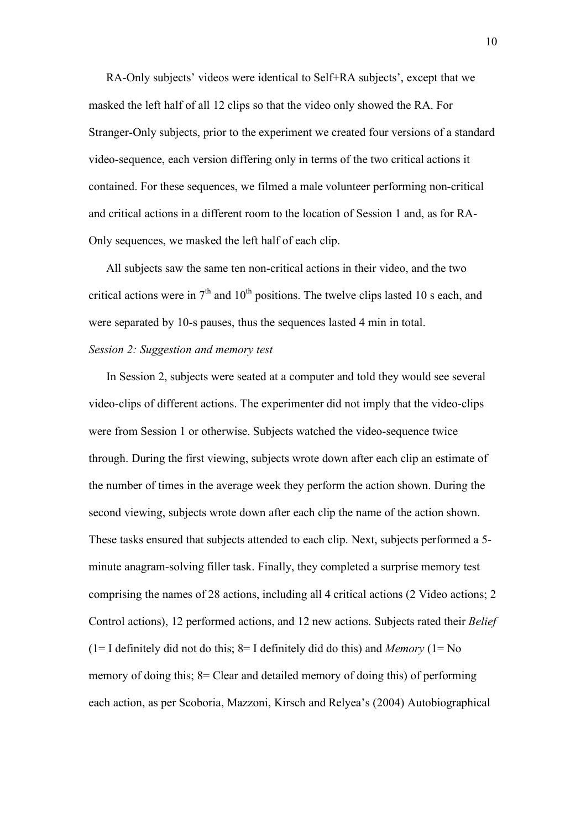RA-Only subjects' videos were identical to Self+RA subjects', except that we masked the left half of all 12 clips so that the video only showed the RA. For Stranger-Only subjects, prior to the experiment we created four versions of a standard video-sequence, each version differing only in terms of the two critical actions it contained. For these sequences, we filmed a male volunteer performing non-critical and critical actions in a different room to the location of Session 1 and, as for RA-Only sequences, we masked the left half of each clip.

All subjects saw the same ten non-critical actions in their video, and the two critical actions were in  $7<sup>th</sup>$  and  $10<sup>th</sup>$  positions. The twelve clips lasted 10 s each, and were separated by 10-s pauses, thus the sequences lasted 4 min in total.

# *Session 2: Suggestion and memory test*

In Session 2, subjects were seated at a computer and told they would see several video-clips of different actions. The experimenter did not imply that the video-clips were from Session 1 or otherwise. Subjects watched the video-sequence twice through. During the first viewing, subjects wrote down after each clip an estimate of the number of times in the average week they perform the action shown. During the second viewing, subjects wrote down after each clip the name of the action shown. These tasks ensured that subjects attended to each clip. Next, subjects performed a 5 minute anagram-solving filler task. Finally, they completed a surprise memory test comprising the names of 28 actions, including all 4 critical actions (2 Video actions; 2 Control actions), 12 performed actions, and 12 new actions. Subjects rated their *Belief* (1= I definitely did not do this;  $8=$  I definitely did do this) and *Memory* (1= No memory of doing this; 8= Clear and detailed memory of doing this) of performing each action, as per Scoboria, Mazzoni, Kirsch and Relyea's (2004) Autobiographical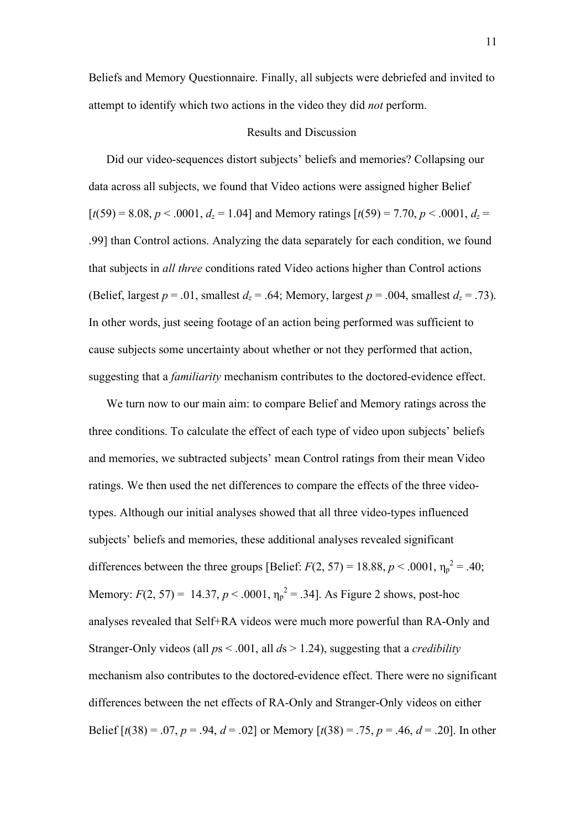Beliefs and Memory Questionnaire. Finally, all subjects were debriefed and invited to attempt to identify which two actions in the video they did *not* perform.

## Results and Discussion

Did our video-sequences distort subjects' beliefs and memories? Collapsing our data across all subjects, we found that Video actions were assigned higher Belief  $[t(59) = 8.08, p < .0001, d_z = 1.04]$  and Memory ratings  $[t(59) = 7.70, p < .0001, d_z =$ .99] than Control actions. Analyzing the data separately for each condition, we found that subjects in *all three* conditions rated Video actions higher than Control actions (Belief, largest  $p = .01$ , smallest  $d_z = .64$ ; Memory, largest  $p = .004$ , smallest  $d_z = .73$ ). In other words, just seeing footage of an action being performed was sufficient to cause subjects some uncertainty about whether or not they performed that action, suggesting that a *familiarity* mechanism contributes to the doctored-evidence effect.

We turn now to our main aim: to compare Belief and Memory ratings across the three conditions. To calculate the effect of each type of video upon subjects' beliefs and memories, we subtracted subjects' mean Control ratings from their mean Video ratings. We then used the net differences to compare the effects of the three videotypes. Although our initial analyses showed that all three video-types influenced subjects' beliefs and memories, these additional analyses revealed significant differences between the three groups [Belief:  $F(2, 57) = 18.88$ ,  $p < .0001$ ,  $\eta_p^2 = .40$ ; Memory:  $F(2, 57) = 14.37, p < .0001, \eta_p^2 = .34$ . As Figure 2 shows, post-hoc analyses revealed that Self+RA videos were much more powerful than RA-Only and Stranger-Only videos (all *p*s < .001, all *d*s > 1.24), suggesting that a *credibility* mechanism also contributes to the doctored-evidence effect. There were no significant differences between the net effects of RA-Only and Stranger-Only videos on either Belief  $[t(38) = .07, p = .94, d = .02]$  or Memory  $[t(38) = .75, p = .46, d = .20]$ . In other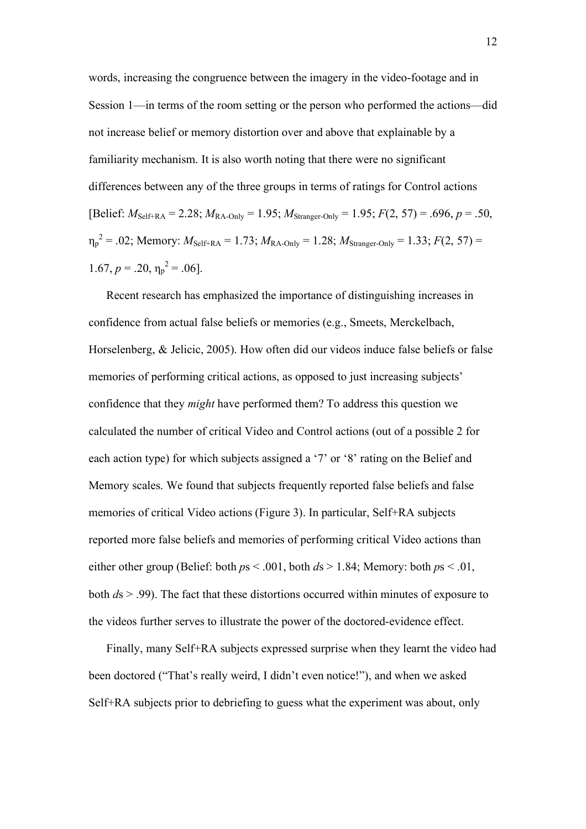words, increasing the congruence between the imagery in the video-footage and in Session 1—in terms of the room setting or the person who performed the actions—did not increase belief or memory distortion over and above that explainable by a familiarity mechanism. It is also worth noting that there were no significant differences between any of the three groups in terms of ratings for Control actions [Belief:  $M_{\text{Self+RA}} = 2.28$ ;  $M_{\text{RA-Only}} = 1.95$ ;  $M_{\text{Stranger-Only}} = 1.95$ ;  $F(2, 57) = .696$ ,  $p = .50$ ,  $\eta_p^2 = .02$ ; Memory:  $M_{\text{Self+RA}} = 1.73$ ;  $M_{\text{RA-Only}} = 1.28$ ;  $M_{\text{Stranger-Only}} = 1.33$ ;  $F(2, 57) =$  $1.67, p = .20, \eta_p^2 = .06$ .

Recent research has emphasized the importance of distinguishing increases in confidence from actual false beliefs or memories (e.g., Smeets, Merckelbach, Horselenberg, & Jelicic, 2005). How often did our videos induce false beliefs or false memories of performing critical actions, as opposed to just increasing subjects' confidence that they *might* have performed them? To address this question we calculated the number of critical Video and Control actions (out of a possible 2 for each action type) for which subjects assigned a '7' or '8' rating on the Belief and Memory scales. We found that subjects frequently reported false beliefs and false memories of critical Video actions (Figure 3). In particular, Self+RA subjects reported more false beliefs and memories of performing critical Video actions than either other group (Belief: both  $ps < .001$ , both  $ds > 1.84$ ; Memory: both  $ps < .01$ , both *d*s > .99). The fact that these distortions occurred within minutes of exposure to the videos further serves to illustrate the power of the doctored-evidence effect.

Finally, many Self+RA subjects expressed surprise when they learnt the video had been doctored ("That's really weird, I didn't even notice!"), and when we asked Self+RA subjects prior to debriefing to guess what the experiment was about, only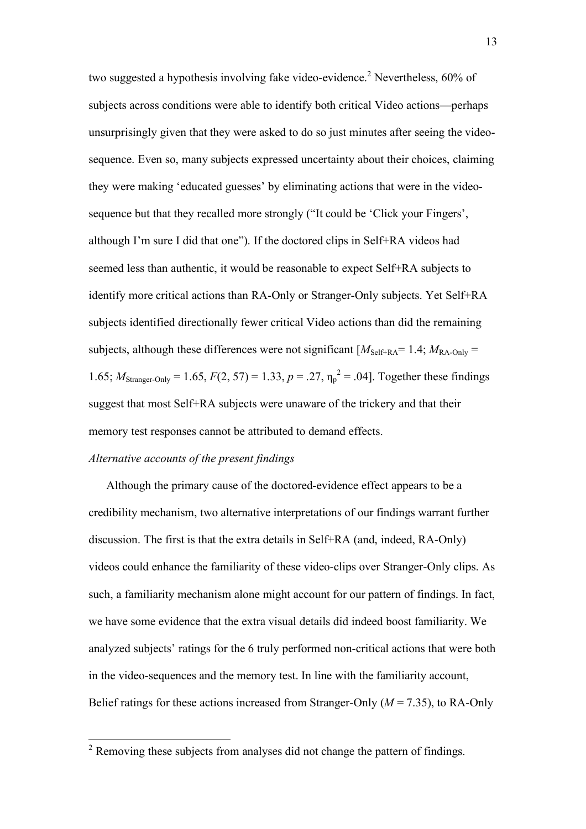two suggested a hypothesis involving fake video-evidence.<sup>2</sup> Nevertheless, 60% of subjects across conditions were able to identify both critical Video actions—perhaps unsurprisingly given that they were asked to do so just minutes after seeing the videosequence. Even so, many subjects expressed uncertainty about their choices, claiming they were making 'educated guesses' by eliminating actions that were in the videosequence but that they recalled more strongly ("It could be 'Click your Fingers', although I'm sure I did that one"). If the doctored clips in Self+RA videos had seemed less than authentic, it would be reasonable to expect Self+RA subjects to identify more critical actions than RA-Only or Stranger-Only subjects. Yet Self+RA subjects identified directionally fewer critical Video actions than did the remaining subjects, although these differences were not significant  $[M<sub>Self+RA</sub>= 1.4; M<sub>RA-Only</sub> =$ 1.65;  $M_{\text{Stranger-Only}} = 1.65$ ,  $F(2, 57) = 1.33$ ,  $p = .27$ ,  $\eta_p^2 = .04$ . Together these findings suggest that most Self+RA subjects were unaware of the trickery and that their memory test responses cannot be attributed to demand effects.

## *Alternative accounts of the present findings*

Although the primary cause of the doctored-evidence effect appears to be a credibility mechanism, two alternative interpretations of our findings warrant further discussion. The first is that the extra details in Self+RA (and, indeed, RA-Only) videos could enhance the familiarity of these video-clips over Stranger-Only clips. As such, a familiarity mechanism alone might account for our pattern of findings. In fact, we have some evidence that the extra visual details did indeed boost familiarity. We analyzed subjects' ratings for the 6 truly performed non-critical actions that were both in the video-sequences and the memory test. In line with the familiarity account, Belief ratings for these actions increased from Stranger-Only (*M* = 7.35), to RA-Only

 $2 \text{ Remove } 2$  Removing these subjects from analyses did not change the pattern of findings.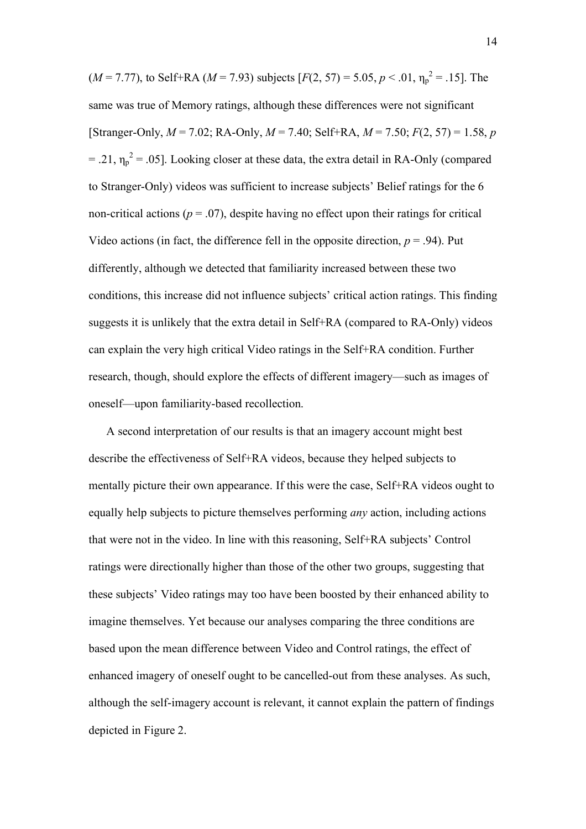$(M = 7.77)$ , to Self+RA  $(M = 7.93)$  subjects  $[F(2, 57) = 5.05, p < .01, \eta_p^2 = .15]$ . The same was true of Memory ratings, although these differences were not significant [Stranger-Only, *M* = 7.02; RA-Only, *M* = 7.40; Self+RA, *M* = 7.50; *F*(2, 57) = 1.58, *p*  $=$  .21,  $\eta_p^2$  = .05]. Looking closer at these data, the extra detail in RA-Only (compared to Stranger-Only) videos was sufficient to increase subjects' Belief ratings for the 6 non-critical actions ( $p = .07$ ), despite having no effect upon their ratings for critical Video actions (in fact, the difference fell in the opposite direction,  $p = .94$ ). Put differently, although we detected that familiarity increased between these two conditions, this increase did not influence subjects' critical action ratings. This finding suggests it is unlikely that the extra detail in Self+RA (compared to RA-Only) videos can explain the very high critical Video ratings in the Self+RA condition. Further research, though, should explore the effects of different imagery—such as images of oneself—upon familiarity-based recollection.

A second interpretation of our results is that an imagery account might best describe the effectiveness of Self+RA videos, because they helped subjects to mentally picture their own appearance. If this were the case, Self+RA videos ought to equally help subjects to picture themselves performing *any* action, including actions that were not in the video. In line with this reasoning, Self+RA subjects' Control ratings were directionally higher than those of the other two groups, suggesting that these subjects' Video ratings may too have been boosted by their enhanced ability to imagine themselves. Yet because our analyses comparing the three conditions are based upon the mean difference between Video and Control ratings, the effect of enhanced imagery of oneself ought to be cancelled-out from these analyses. As such, although the self-imagery account is relevant, it cannot explain the pattern of findings depicted in Figure 2.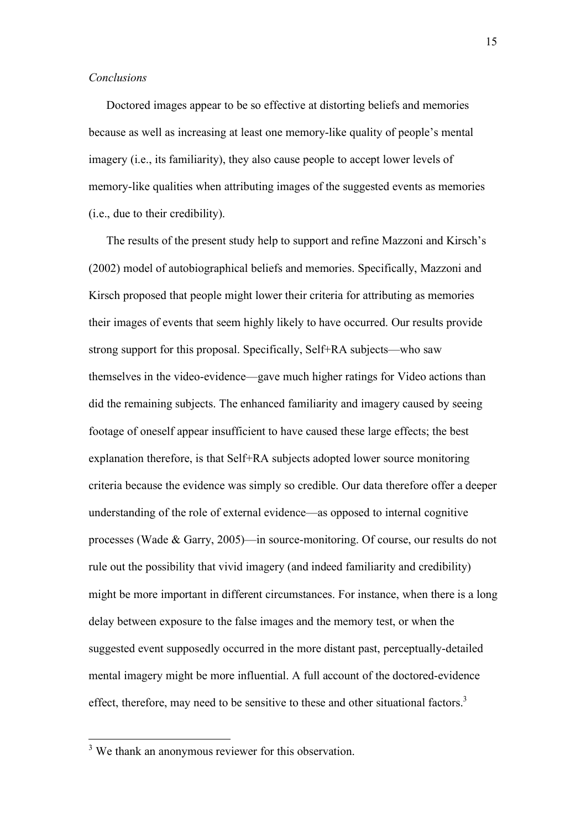## *Conclusions*

Doctored images appear to be so effective at distorting beliefs and memories because as well as increasing at least one memory-like quality of people's mental imagery (i.e., its familiarity), they also cause people to accept lower levels of memory-like qualities when attributing images of the suggested events as memories (i.e., due to their credibility).

The results of the present study help to support and refine Mazzoni and Kirsch's (2002) model of autobiographical beliefs and memories. Specifically, Mazzoni and Kirsch proposed that people might lower their criteria for attributing as memories their images of events that seem highly likely to have occurred. Our results provide strong support for this proposal. Specifically, Self+RA subjects—who saw themselves in the video-evidence—gave much higher ratings for Video actions than did the remaining subjects. The enhanced familiarity and imagery caused by seeing footage of oneself appear insufficient to have caused these large effects; the best explanation therefore, is that Self+RA subjects adopted lower source monitoring criteria because the evidence was simply so credible. Our data therefore offer a deeper understanding of the role of external evidence—as opposed to internal cognitive processes (Wade & Garry, 2005)—in source-monitoring. Of course, our results do not rule out the possibility that vivid imagery (and indeed familiarity and credibility) might be more important in different circumstances. For instance, when there is a long delay between exposure to the false images and the memory test, or when the suggested event supposedly occurred in the more distant past, perceptually-detailed mental imagery might be more influential. A full account of the doctored-evidence effect, therefore, may need to be sensitive to these and other situational factors.<sup>3</sup>

<sup>&</sup>lt;sup>3</sup> We thank an anonymous reviewer for this observation.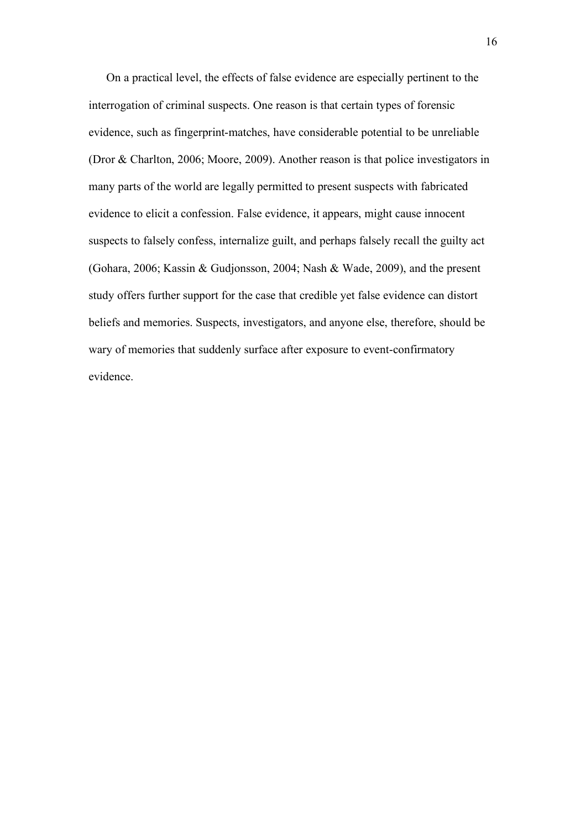On a practical level, the effects of false evidence are especially pertinent to the interrogation of criminal suspects. One reason is that certain types of forensic evidence, such as fingerprint-matches, have considerable potential to be unreliable (Dror & Charlton, 2006; Moore, 2009). Another reason is that police investigators in many parts of the world are legally permitted to present suspects with fabricated evidence to elicit a confession. False evidence, it appears, might cause innocent suspects to falsely confess, internalize guilt, and perhaps falsely recall the guilty act (Gohara, 2006; Kassin & Gudjonsson, 2004; Nash & Wade, 2009), and the present study offers further support for the case that credible yet false evidence can distort beliefs and memories. Suspects, investigators, and anyone else, therefore, should be wary of memories that suddenly surface after exposure to event-confirmatory evidence.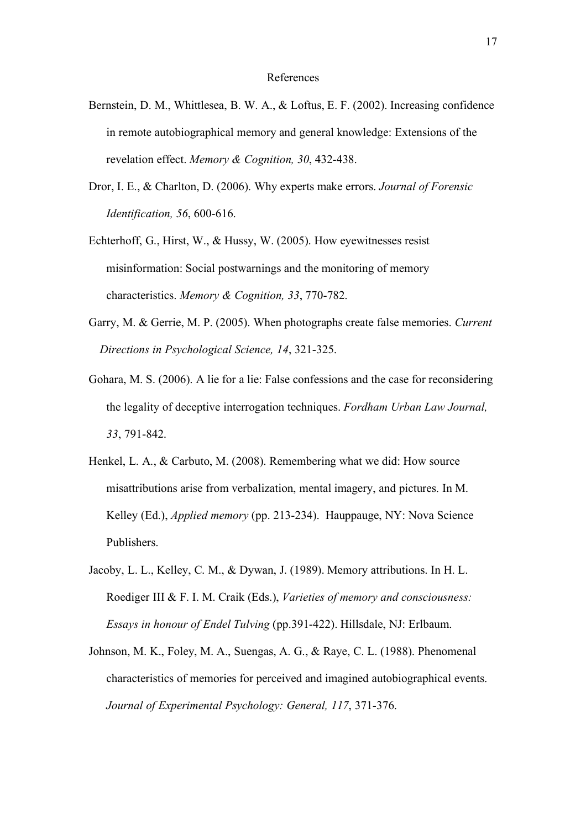### References

- Bernstein, D. M., Whittlesea, B. W. A., & Loftus, E. F. (2002). Increasing confidence in remote autobiographical memory and general knowledge: Extensions of the revelation effect. *Memory & Cognition, 30*, 432-438.
- Dror, I. E., & Charlton, D. (2006). Why experts make errors. *Journal of Forensic Identification, 56*, 600-616.
- Echterhoff, G., Hirst, W., & Hussy, W. (2005). How eyewitnesses resist misinformation: Social postwarnings and the monitoring of memory characteristics. *Memory & Cognition, 33*, 770-782.
- Garry, M. & Gerrie, M. P. (2005). When photographs create false memories. *Current Directions in Psychological Science, 14*, 321-325.
- Gohara, M. S. (2006). A lie for a lie: False confessions and the case for reconsidering the legality of deceptive interrogation techniques. *Fordham Urban Law Journal, 33*, 791-842.
- Henkel, L. A., & Carbuto, M. (2008). Remembering what we did: How source misattributions arise from verbalization, mental imagery, and pictures. In M. Kelley (Ed.), *Applied memory* (pp. 213-234). Hauppauge, NY: Nova Science Publishers.
- Jacoby, L. L., Kelley, C. M., & Dywan, J. (1989). Memory attributions. In H. L. Roediger III & F. I. M. Craik (Eds.), *Varieties of memory and consciousness: Essays in honour of Endel Tulving* (pp.391-422). Hillsdale, NJ: Erlbaum.
- Johnson, M. K., Foley, M. A., Suengas, A. G., & Raye, C. L. (1988). Phenomenal characteristics of memories for perceived and imagined autobiographical events. *Journal of Experimental Psychology: General, 117*, 371-376.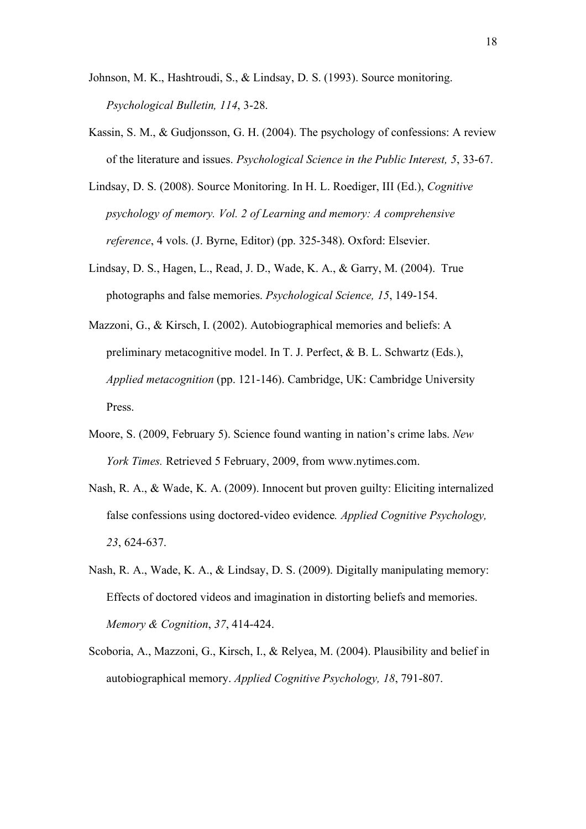- Johnson, M. K., Hashtroudi, S., & Lindsay, D. S. (1993). Source monitoring. *Psychological Bulletin, 114*, 3-28.
- Kassin, S. M., & Gudjonsson, G. H. (2004). The psychology of confessions: A review of the literature and issues. *Psychological Science in the Public Interest, 5*, 33-67.
- Lindsay, D. S. (2008). Source Monitoring. In H. L. Roediger, III (Ed.), *Cognitive psychology of memory. Vol. 2 of Learning and memory: A comprehensive reference*, 4 vols. (J. Byrne, Editor) (pp. 325-348). Oxford: Elsevier.
- Lindsay, D. S., Hagen, L., Read, J. D., Wade, K. A., & Garry, M. (2004). True photographs and false memories. *Psychological Science, 15*, 149-154.
- Mazzoni, G., & Kirsch, I. (2002). Autobiographical memories and beliefs: A preliminary metacognitive model. In T. J. Perfect, & B. L. Schwartz (Eds.), *Applied metacognition* (pp. 121-146). Cambridge, UK: Cambridge University Press.
- Moore, S. (2009, February 5). Science found wanting in nation's crime labs. *New York Times.* Retrieved 5 February, 2009, from www.nytimes.com.
- Nash, R. A., & Wade, K. A. (2009). Innocent but proven guilty: Eliciting internalized false confessions using doctored-video evidence*. Applied Cognitive Psychology, 23*, 624-637.
- Nash, R. A., Wade, K. A., & Lindsay, D. S. (2009). Digitally manipulating memory: Effects of doctored videos and imagination in distorting beliefs and memories. *Memory & Cognition*, *37*, 414-424.
- Scoboria, A., Mazzoni, G., Kirsch, I., & Relyea, M. (2004). Plausibility and belief in autobiographical memory. *Applied Cognitive Psychology, 18*, 791-807.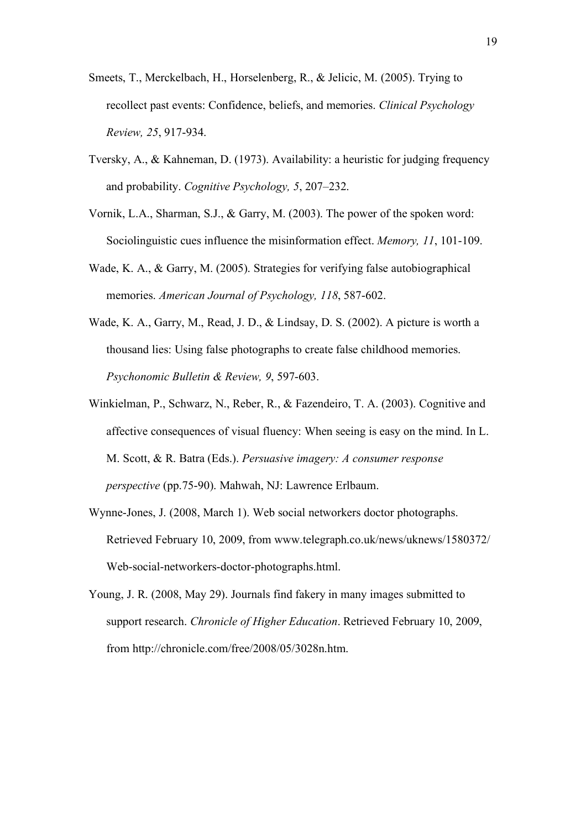- Smeets, T., Merckelbach, H., Horselenberg, R., & Jelicic, M. (2005). Trying to recollect past events: Confidence, beliefs, and memories. *Clinical Psychology Review, 25*, 917-934.
- Tversky, A., & Kahneman, D. (1973). Availability: a heuristic for judging frequency and probability. *Cognitive Psychology, 5*, 207–232.
- Vornik, L.A., Sharman, S.J., & Garry, M. (2003). The power of the spoken word: Sociolinguistic cues influence the misinformation effect. *Memory, 11*, 101-109.
- Wade, K. A., & Garry, M. (2005). Strategies for verifying false autobiographical memories. *American Journal of Psychology, 118*, 587-602.
- Wade, K. A., Garry, M., Read, J. D., & Lindsay, D. S. (2002). A picture is worth a thousand lies: Using false photographs to create false childhood memories. *Psychonomic Bulletin & Review, 9*, 597-603.
- Winkielman, P., Schwarz, N., Reber, R., & Fazendeiro, T. A. (2003). Cognitive and affective consequences of visual fluency: When seeing is easy on the mind. In L. M. Scott, & R. Batra (Eds.). *Persuasive imagery: A consumer response perspective* (pp.75-90). Mahwah, NJ: Lawrence Erlbaum.
- Wynne-Jones, J. (2008, March 1). Web social networkers doctor photographs. Retrieved February 10, 2009, from www.telegraph.co.uk/news/uknews/1580372/ Web-social-networkers-doctor-photographs.html.
- Young, J. R. (2008, May 29). Journals find fakery in many images submitted to support research. *Chronicle of Higher Education*. Retrieved February 10, 2009, from http://chronicle.com/free/2008/05/3028n.htm.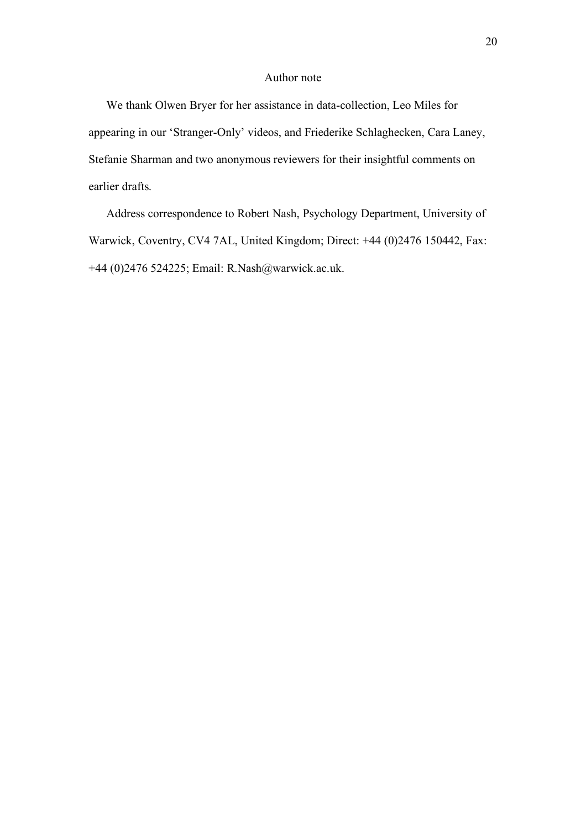# Author note

We thank Olwen Bryer for her assistance in data-collection, Leo Miles for appearing in our 'Stranger-Only' videos, and Friederike Schlaghecken, Cara Laney, Stefanie Sharman and two anonymous reviewers for their insightful comments on earlier drafts.

Address correspondence to Robert Nash, Psychology Department, University of Warwick, Coventry, CV4 7AL, United Kingdom; Direct: +44 (0)2476 150442, Fax: +44 (0)2476 524225; Email: R.Nash@warwick.ac.uk.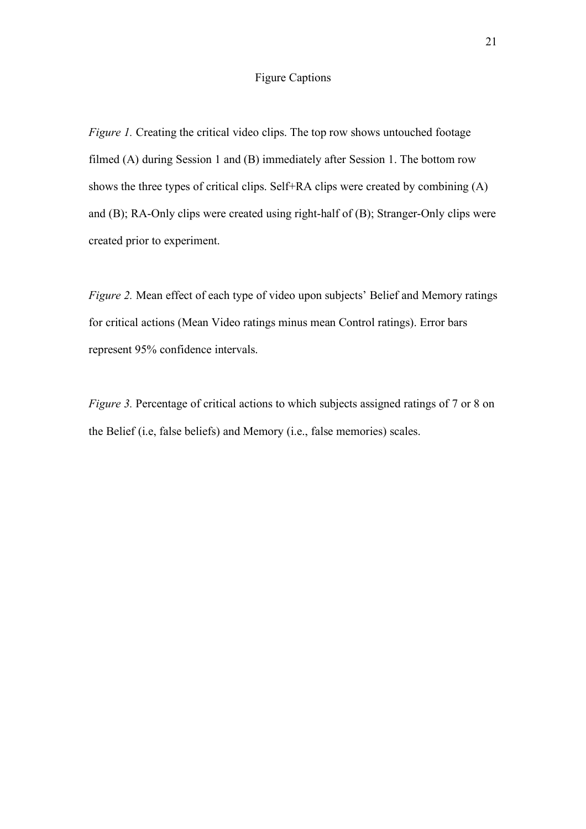# Figure Captions

*Figure 1.* Creating the critical video clips. The top row shows untouched footage filmed (A) during Session 1 and (B) immediately after Session 1. The bottom row shows the three types of critical clips. Self+RA clips were created by combining (A) and (B); RA-Only clips were created using right-half of (B); Stranger-Only clips were created prior to experiment.

*Figure 2.* Mean effect of each type of video upon subjects' Belief and Memory ratings for critical actions (Mean Video ratings minus mean Control ratings). Error bars represent 95% confidence intervals.

*Figure 3.* Percentage of critical actions to which subjects assigned ratings of 7 or 8 on the Belief (i.e, false beliefs) and Memory (i.e., false memories) scales.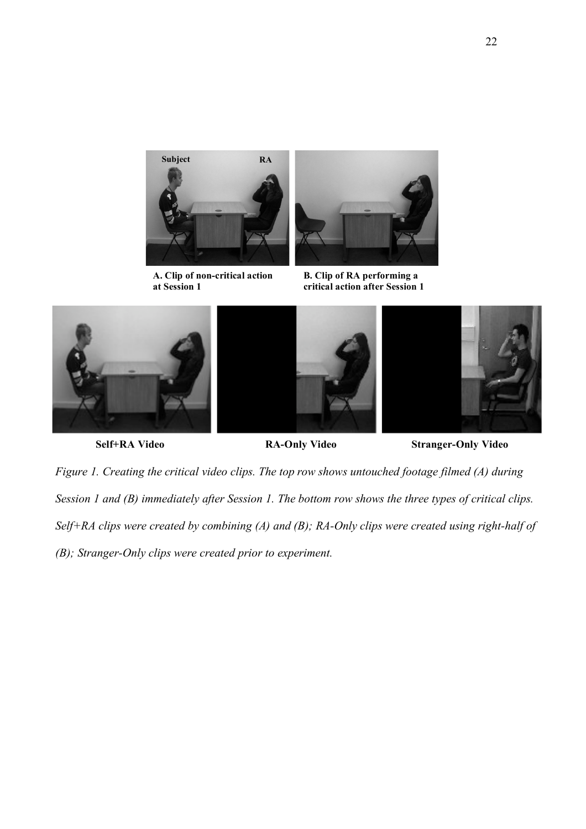

**A. Clip of non-critical action at Session 1**



**B. Clip of RA performing a critical action after Session 1**







**Self+RA Video RA-Only Video Stranger-Only Video**

*Figure 1. Creating the critical video clips. The top row shows untouched footage filmed (A) during Session 1 and (B) immediately after Session 1. The bottom row shows the three types of critical clips. Self+RA clips were created by combining (A) and (B); RA-Only clips were created using right-half of (B); Stranger-Only clips were created prior to experiment.*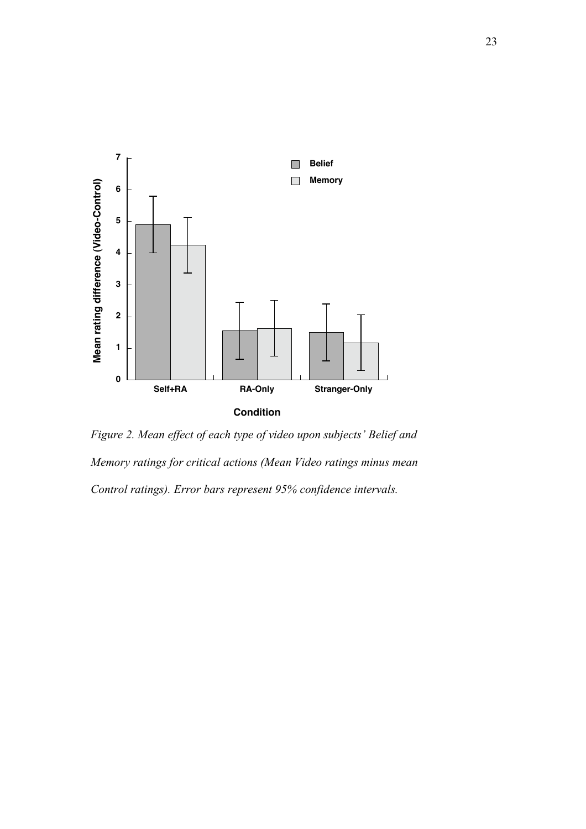

*Figure 2. Mean effect of each type of video upon subjects' Belief and Memory ratings for critical actions (Mean Video ratings minus mean Control ratings). Error bars represent 95% confidence intervals.*